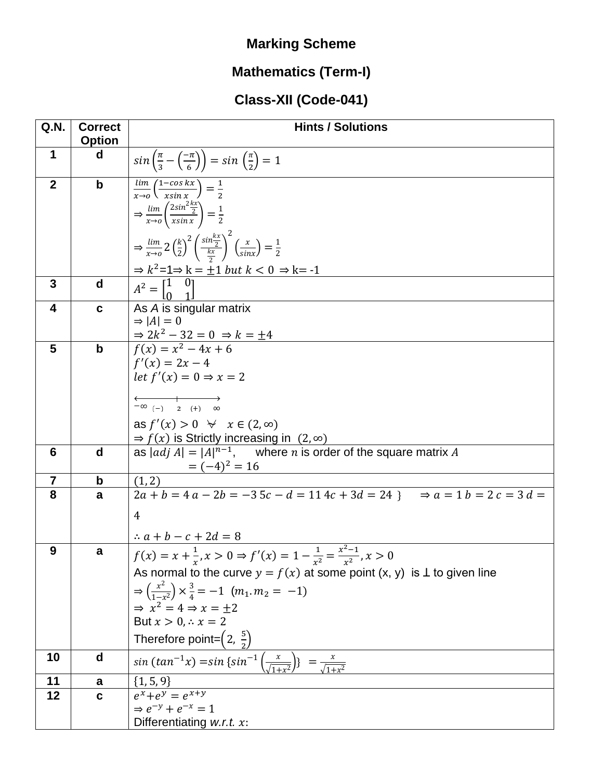## **Marking Scheme**

## **Mathematics (Term-I)**

## **Class-XII (Code-041)**

| Q.N.                    | <b>Correct</b><br><b>Option</b> | <b>Hints / Solutions</b>                                                                                                                                                   |
|-------------------------|---------------------------------|----------------------------------------------------------------------------------------------------------------------------------------------------------------------------|
| $\mathbf 1$             | d                               |                                                                                                                                                                            |
|                         |                                 | $sin\left(\frac{\pi}{3} - \left(\frac{-\pi}{6}\right)\right) = sin\left(\frac{\pi}{2}\right) = 1$                                                                          |
| $\overline{2}$          | $\mathbf b$                     | $\frac{\lim}{x \to 0} \left( \frac{1 - \cos kx}{x \sin x} \right) = \frac{1}{2}$                                                                                           |
|                         |                                 |                                                                                                                                                                            |
|                         |                                 | $\Rightarrow \frac{\lim}{x \to 0} \left( \frac{2\sin^2\frac{kx}{2}}{x\sin x} \right) = \frac{1}{2}$                                                                        |
|                         |                                 | $\Rightarrow \frac{lim}{x \to 0} 2 \left(\frac{k}{2}\right)^2 \left(\frac{sin\left(\frac{kx}{2}\right)}{\frac{kx}{2}}\right)^2 \left(\frac{x}{sin x}\right) = \frac{1}{2}$ |
|                         |                                 | $\Rightarrow k^2 = 1 \Rightarrow k = \pm 1$ but $k < 0 \Rightarrow k = -1$                                                                                                 |
| 3                       | d                               | $A^2 = \begin{bmatrix} 1 & 0 \\ 0 & 1 \end{bmatrix}$                                                                                                                       |
| $\overline{\mathbf{4}}$ | $\mathbf c$                     | As A is singular matrix                                                                                                                                                    |
|                         |                                 | $\Rightarrow$  A  = 0                                                                                                                                                      |
|                         |                                 | $\Rightarrow 2k^2 - 32 = 0 \Rightarrow k = \pm 4$<br>$f(x) = x^2 - 4x + 6$                                                                                                 |
| 5                       | $\mathbf b$                     | $f'(x) = 2x - 4$                                                                                                                                                           |
|                         |                                 | let $f'(x) = 0 \Rightarrow x = 2$                                                                                                                                          |
|                         |                                 |                                                                                                                                                                            |
|                         |                                 | $\longleftrightarrow$<br>$-\infty$ (-) 2 (+) $\infty$                                                                                                                      |
|                         |                                 | as $f'(x) > 0 \quad \forall \quad x \in (2, \infty)$                                                                                                                       |
|                         |                                 | $\Rightarrow$ $f(x)$ is Strictly increasing in (2, $\infty$ )                                                                                                              |
| 6                       | d                               | as $ adj A  =  A ^{n-1}$ , where <i>n</i> is order of the square matrix <i>A</i>                                                                                           |
|                         |                                 | $= (-4)^2 = 16$                                                                                                                                                            |
| $\overline{7}$          | $\mathbf b$                     | (1, 2)                                                                                                                                                                     |
| 8                       | a                               | $2a + b = 4a - 2b = -35c - d = 114c + 3d = 24$ $\Rightarrow a = 1 b = 2 c = 3 d =$                                                                                         |
|                         |                                 | $\overline{4}$                                                                                                                                                             |
|                         |                                 | $\therefore a + b - c + 2d = 8$                                                                                                                                            |
| 9                       | a                               | $f(x) = x + \frac{1}{x}, x > 0 \Rightarrow f'(x) = 1 - \frac{1}{x^2} = \frac{x^2 - 1}{x^2}, x > 0$                                                                         |
|                         |                                 | As normal to the curve $y = f(x)$ at some point $(x, y)$ is $\perp$ to given line                                                                                          |
|                         |                                 | $\Rightarrow$ $\left(\frac{x^2}{1-x^2}\right) \times \frac{3}{4} = -1$ $(m_1 \cdot m_2 = -1)$                                                                              |
|                         |                                 | $\Rightarrow$ $x^2 = 4 \Rightarrow x = \pm 2$                                                                                                                              |
|                         |                                 | But $x > 0, \therefore x = 2$                                                                                                                                              |
|                         |                                 | Therefore point= $\left(2, \frac{5}{2}\right)$                                                                                                                             |
| 10                      | d                               | $\sum_{\text{sin}} (\tan^{-1} x) = \sin \{ \sin^{-1} \left( \frac{x}{\sqrt{1+x^2}} \right) \} = \frac{x}{\sqrt{1+x^2}}$                                                    |
| 11                      | a                               | $\{1, 5, 9\}$                                                                                                                                                              |
| 12                      | C                               | $e^x + e^y = e^{x+y}$                                                                                                                                                      |
|                         |                                 | $\Rightarrow e^{-y} + e^{-x} = 1$                                                                                                                                          |
|                         |                                 | Differentiating w.r.t. x:                                                                                                                                                  |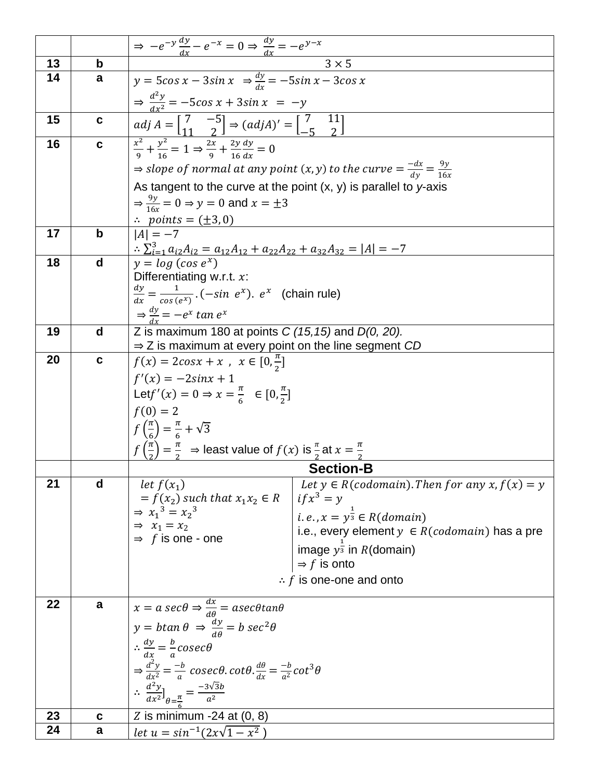|    |              | $\Rightarrow -e^{-y}\frac{dy}{dx} - e^{-x} = 0 \Rightarrow \frac{dy}{dx} = -e^{y-x}$                                              |
|----|--------------|-----------------------------------------------------------------------------------------------------------------------------------|
| 13 | $\mathbf b$  | $\overline{3} \times 5$                                                                                                           |
| 14 | a            | $y = 5\cos x - 3\sin x$ $\Rightarrow \frac{dy}{dx} = -5\sin x - 3\cos x$                                                          |
|    |              | $\Rightarrow \frac{d^2y}{dx^2} = -5\cos x + 3\sin x = -y$                                                                         |
| 15 | $\mathbf c$  | $adj A = \begin{bmatrix} 7 & -5 \\ 11 & 2 \end{bmatrix} \Rightarrow (adj A)' = \begin{bmatrix} 7 & 11 \\ -5 & 2 \end{bmatrix}$    |
| 16 | $\mathbf c$  | $\sqrt{\frac{x^2}{2} + \frac{y^2}{4}} = 1 \Rightarrow \frac{2x}{2} + \frac{2y}{46} \frac{dy}{dx} = 0$                             |
|    |              | $\Rightarrow$ slope of normal at any point $(x, y)$ to the curve $=$ $\frac{-dx}{dy}$ $=$ $\frac{9y}{16x}$                        |
|    |              | As tangent to the curve at the point $(x, y)$ is parallel to y-axis                                                               |
|    |              | $\Rightarrow \frac{9y}{16x} = 0 \Rightarrow y = 0$ and $x = \pm 3$                                                                |
|    |              | $\therefore$ points = ( $\pm$ 3,0)                                                                                                |
| 17 | $\mathbf b$  | $ A  = -7$                                                                                                                        |
|    |              | $\therefore \sum_{i=1}^{3} a_{i2} A_{i2} = a_{12} A_{12} + a_{22} A_{22} + a_{32} A_{32} =  A  = -7$                              |
| 18 | $\mathbf d$  | $y = log (cos e^{x})$                                                                                                             |
|    |              | Differentiating w.r.t. $x$ :                                                                                                      |
|    |              | $\frac{dy}{dx} = \frac{1}{\cos(e^x)} \cdot (-\sin e^x) \cdot e^x$ (chain rule)                                                    |
|    |              | $\Rightarrow \frac{dy}{dx} = -e^x \tan e^x$                                                                                       |
| 19 | $\mathsf{d}$ | Z is maximum 180 at points $C(15, 15)$ and $D(0, 20)$ .                                                                           |
|    |              | $\Rightarrow$ Z is maximum at every point on the line segment CD                                                                  |
| 20 | $\mathbf c$  | $f(x) = 2cosx + x$ , $x \in [0, \frac{\pi}{2}]$                                                                                   |
|    |              | $f'(x) = -2sinx + 1$                                                                                                              |
|    |              | Let $f'(x) = 0 \Rightarrow x = \frac{\pi}{6} \in [0, \frac{\pi}{2}]$                                                              |
|    |              | $f(0) = 2$                                                                                                                        |
|    |              | $f\left(\frac{\pi}{6}\right) = \frac{\pi}{6} + \sqrt{3}$                                                                          |
|    |              |                                                                                                                                   |
|    |              | $f\left(\frac{\pi}{2}\right) = \frac{\pi}{2}$ $\Rightarrow$ least value of $f(x)$ is $\frac{\pi}{2}$ at $x = \frac{\pi}{2}$       |
|    |              | <b>Section-B</b>                                                                                                                  |
| 21 | d            | Let $y \in R(codomain)$ . Then for any $x, f(x) = y$<br>let $f(x_1)$                                                              |
|    |              | $= f(x_2)$ such that $x_1x_2 \in R$<br>$if x^3 = y$                                                                               |
|    |              | $\Rightarrow$ $x_1^3 = x_2^3$<br><i>i.e.</i> , $x = y^{\frac{1}{3}} \in R(domain)$<br>$\Rightarrow x_1 = x_2$                     |
|    |              | i.e., every element $y \in R(codomain)$ has a pre<br>$\Rightarrow$ f is one - one                                                 |
|    |              | image $y^{\frac{1}{3}}$ in R(domain)                                                                                              |
|    |              | $\Rightarrow$ f is onto<br>$\therefore$ f is one-one and onto                                                                     |
|    |              |                                                                                                                                   |
| 22 | a            | $x = a \sec\theta \Rightarrow \frac{dx}{d\theta} = a \sec\theta \tan\theta$                                                       |
|    |              | $y = b \tan \theta \Rightarrow \frac{dy}{d\theta} = b \sec^2 \theta$                                                              |
|    |              | $\therefore \frac{dy}{dx} = \frac{b}{a} \csc \theta$                                                                              |
|    |              | $\Rightarrow \frac{d^2y}{dx^2} = \frac{-b}{a} \csc\theta \cdot \cot\theta \cdot \frac{d\theta}{dx} = \frac{-b}{a^2} \cot^3\theta$ |
|    |              |                                                                                                                                   |
|    |              | $\therefore \frac{d^2y}{dx^2}\Big _{\theta=\frac{\pi}{a}} = \frac{-3\sqrt{3}b}{a^2}$                                              |
| 23 | C            | $Z$ is minimum -24 at $(0, 8)$                                                                                                    |
| 24 | a            | let $u = \sin^{-1}(2x\sqrt{1-x^2})$                                                                                               |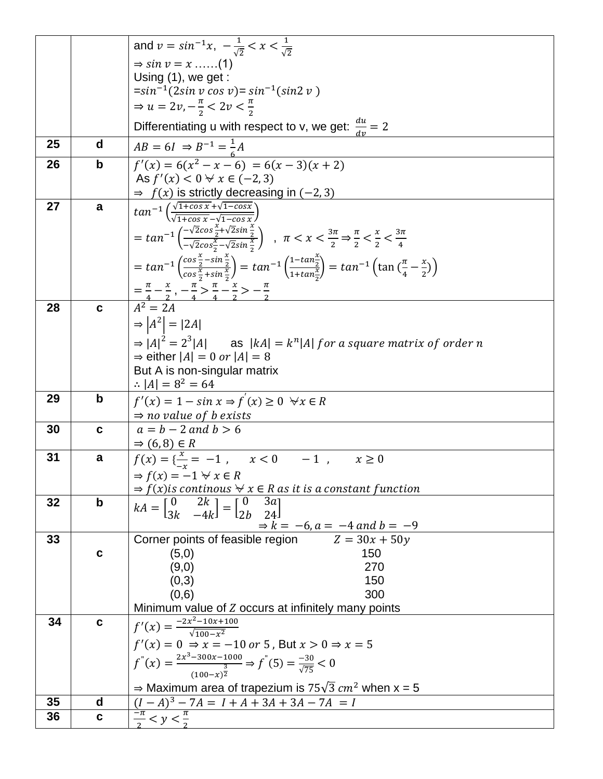|    |             | and $v = \sin^{-1}x$ , $-\frac{1}{\sqrt{2}} < x < \frac{1}{\sqrt{2}}$                                                                                                                                                                    |
|----|-------------|------------------------------------------------------------------------------------------------------------------------------------------------------------------------------------------------------------------------------------------|
|    |             | $\Rightarrow$ sin $v = x$ (1)                                                                                                                                                                                                            |
|    |             | Using (1), we get:                                                                                                                                                                                                                       |
|    |             | $=sin^{-1}(2\sin v \cos v) = \sin^{-1}(\sin 2 v)$                                                                                                                                                                                        |
|    |             | $\Rightarrow u = 2v, -\frac{\pi}{2} < 2v < \frac{\pi}{2}$                                                                                                                                                                                |
|    |             | Differentiating u with respect to v, we get: $\frac{du}{dx} = 2$                                                                                                                                                                         |
| 25 | d           | $AB = 6I \Rightarrow B^{-1} = \frac{1}{6}A$<br>$f'(x) = 6(x^2 - x - 6) = 6(x - 3)(x + 2)$                                                                                                                                                |
| 26 | $\mathbf b$ |                                                                                                                                                                                                                                          |
|    |             | As $f'(x) < 0 \forall x \in (-2, 3)$                                                                                                                                                                                                     |
|    |             | $\Rightarrow$ $f(x)$ is strictly decreasing in (-2,3)                                                                                                                                                                                    |
| 27 | a           | $tan^{-1}\left(\frac{\sqrt{1+cos x}+\sqrt{1-cos x}}{\sqrt{1+cos x}-\sqrt{1-cos x}}\right)$                                                                                                                                               |
|    |             | $= \tan^{-1}\left(\frac{-\sqrt{2}\cos\frac{x}{2}+\sqrt{2}\sin\frac{x}{2}}{-\sqrt{2}\cos^2\left(-\sqrt{2}\sin\frac{x}{2}\right)} \right) , \ \ \pi < x < \frac{3\pi}{2} \Rightarrow \frac{\pi}{2} < \frac{x}{2} < \frac{3\pi}{4}$         |
|    |             |                                                                                                                                                                                                                                          |
|    |             | $= \tan^{-1}\left(\frac{\cos\frac{x}{2}-\sin\frac{x}{2}}{\cos\frac{x}{2}+\sin\frac{x}{2}}\right) = \tan^{-1}\left(\frac{1-\tan\frac{x}{2}}{1+\tan\frac{x}{2}}\right) = \tan^{-1}\left(\tan\left(\frac{\pi}{4}-\frac{x}{2}\right)\right)$ |
|    |             |                                                                                                                                                                                                                                          |
|    |             | $\frac{1-\frac{\pi}{4}-\frac{x}{2}}{4^2-2\lambda}, \frac{-\frac{\pi}{4}>\frac{\pi}{4}-\frac{x}{2}>-\frac{\pi}{2}}{4^2-2\lambda}$                                                                                                         |
| 28 | $\mathbf c$ |                                                                                                                                                                                                                                          |
|    |             | $\Rightarrow  A^2  =  2A $                                                                                                                                                                                                               |
|    |             | $\Rightarrow$ $ A ^2 = 2^3  A $ as $ kA  = k^n  A $ for a square matrix of order n                                                                                                                                                       |
|    |             | $\Rightarrow$ either $ A  = 0$ or $ A  = 8$                                                                                                                                                                                              |
|    |             | But A is non-singular matrix                                                                                                                                                                                                             |
|    |             | $\therefore  A  = 8^2 = 64$                                                                                                                                                                                                              |
| 29 | $\mathbf b$ | $f'(x) = 1 - \sin x \Rightarrow f(x) \ge 0 \quad \forall x \in R$                                                                                                                                                                        |
|    |             | $\Rightarrow$ no value of b exists                                                                                                                                                                                                       |
| 30 | C           | $a = b - 2$ and $b > 6$                                                                                                                                                                                                                  |
| 31 | a           | $\Rightarrow$ (6,8) $\in$ R<br>$f(x) = \frac{x}{1-x} = -1$ , $x < 0$ -1, $x \ge 0$                                                                                                                                                       |
|    |             |                                                                                                                                                                                                                                          |
|    |             | $\Rightarrow$ f(x) = -1 $\forall$ x $\in$ R<br>$\Rightarrow$ $f(x)$ is continous $\forall$ $x \in R$ as it is a constant function                                                                                                        |
| 32 | $\mathbf b$ |                                                                                                                                                                                                                                          |
|    |             | $kA = \begin{bmatrix} 0 & 2k \\ 3k & -4k \end{bmatrix} = \begin{bmatrix} 0 & 3a \\ 2b & 24 \end{bmatrix}$                                                                                                                                |
|    |             | $\Rightarrow k = -6, a = -4 \text{ and } b = -9$<br>e region $Z = 30x + 50y$                                                                                                                                                             |
| 33 |             | Corner points of feasible region                                                                                                                                                                                                         |
|    | $\mathbf c$ | 150<br>(5,0)<br>270<br>(9,0)                                                                                                                                                                                                             |
|    |             | (0,3)<br>150                                                                                                                                                                                                                             |
|    |             | (0,6)<br>300                                                                                                                                                                                                                             |
|    |             | Minimum value of Z occurs at infinitely many points                                                                                                                                                                                      |
| 34 | $\mathbf c$ | $f'(x) = \frac{-2x^2 - 10x + 100}{\sqrt{100 - x^2}}$                                                                                                                                                                                     |
|    |             | $f'(x) = 0 \Rightarrow x = -10$ or 5, But $x > 0 \Rightarrow x = 5$                                                                                                                                                                      |
|    |             |                                                                                                                                                                                                                                          |
|    |             | $f''(x) = \frac{2x^3 - 300x - 1000}{(100 - x)^{\frac{3}{2}}} \Rightarrow f^{''}(5) = \frac{-30}{\sqrt{75}} < 0$                                                                                                                          |
|    |             | $\Rightarrow$ Maximum area of trapezium is 75 $\sqrt{3}$ cm <sup>2</sup> when x = 5                                                                                                                                                      |
| 35 | d           | $(I - A)3 - 7A = I + A + 3A + 3A - 7A = I$                                                                                                                                                                                               |
| 36 | C           | $\frac{-\pi}{2}$ < y < $\frac{\pi}{2}$                                                                                                                                                                                                   |
|    |             |                                                                                                                                                                                                                                          |